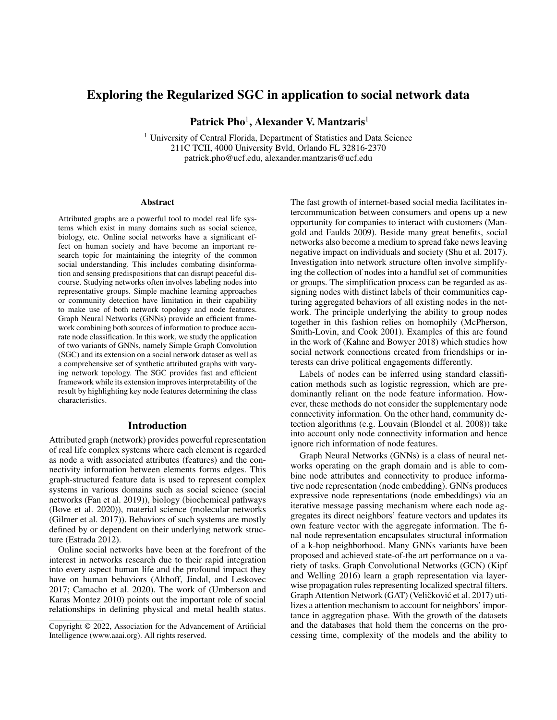# Exploring the Regularized SGC in application to social network data

Patrick Pho $^1$ , Alexander V. Mantzaris $^1$ 

<sup>1</sup> University of Central Florida, Department of Statistics and Data Science 211C TCII, 4000 University Bvld, Orlando FL 32816-2370 patrick.pho@ucf.edu, alexander.mantzaris@ucf.edu

#### Abstract

Attributed graphs are a powerful tool to model real life systems which exist in many domains such as social science, biology, etc. Online social networks have a significant effect on human society and have become an important research topic for maintaining the integrity of the common social understanding. This includes combating disinformation and sensing predispositions that can disrupt peaceful discourse. Studying networks often involves labeling nodes into representative groups. Simple machine learning approaches or community detection have limitation in their capability to make use of both network topology and node features. Graph Neural Networks (GNNs) provide an efficient framework combining both sources of information to produce accurate node classification. In this work, we study the application of two variants of GNNs, namely Simple Graph Convolution (SGC) and its extension on a social network dataset as well as a comprehensive set of synthetic attributed graphs with varying network topology. The SGC provides fast and efficient framework while its extension improves interpretability of the result by highlighting key node features determining the class characteristics.

#### Introduction

Attributed graph (network) provides powerful representation of real life complex systems where each element is regarded as node a with associated attributes (features) and the connectivity information between elements forms edges. This graph-structured feature data is used to represent complex systems in various domains such as social science (social networks (Fan et al. 2019)), biology (biochemical pathways (Bove et al. 2020)), material science (molecular networks (Gilmer et al. 2017)). Behaviors of such systems are mostly defined by or dependent on their underlying network structure (Estrada 2012).

Online social networks have been at the forefront of the interest in networks research due to their rapid integration into every aspect human life and the profound impact they have on human behaviors (Althoff, Jindal, and Leskovec 2017; Camacho et al. 2020). The work of (Umberson and Karas Montez 2010) points out the important role of social relationships in defining physical and metal health status.

The fast growth of internet-based social media facilitates intercommunication between consumers and opens up a new opportunity for companies to interact with customers (Mangold and Faulds 2009). Beside many great benefits, social networks also become a medium to spread fake news leaving negative impact on individuals and society (Shu et al. 2017). Investigation into network structure often involve simplifying the collection of nodes into a handful set of communities or groups. The simplification process can be regarded as assigning nodes with distinct labels of their communities capturing aggregated behaviors of all existing nodes in the network. The principle underlying the ability to group nodes together in this fashion relies on homophily (McPherson, Smith-Lovin, and Cook 2001). Examples of this are found in the work of (Kahne and Bowyer 2018) which studies how social network connections created from friendships or interests can drive political engagements differently.

Labels of nodes can be inferred using standard classification methods such as logistic regression, which are predominantly reliant on the node feature information. However, these methods do not consider the supplementary node connectivity information. On the other hand, community detection algorithms (e.g. Louvain (Blondel et al. 2008)) take into account only node connectivity information and hence ignore rich information of node features.

Graph Neural Networks (GNNs) is a class of neural networks operating on the graph domain and is able to combine node attributes and connectivity to produce informative node representation (node embedding). GNNs produces expressive node representations (node embeddings) via an iterative message passing mechanism where each node aggregates its direct neighbors' feature vectors and updates its own feature vector with the aggregate information. The final node representation encapsulates structural information of a k-hop neighborhood. Many GNNs variants have been proposed and achieved state-of-the art performance on a variety of tasks. Graph Convolutional Networks (GCN) (Kipf and Welling 2016) learn a graph representation via layerwise propagation rules representing localized spectral filters. Graph Attention Network (GAT) (Veličković et al. 2017) utilizes a attention mechanism to account for neighbors' importance in aggregation phase. With the growth of the datasets and the databases that hold them the concerns on the processing time, complexity of the models and the ability to

Copyright © 2022, Association for the Advancement of Artificial Intelligence (www.aaai.org). All rights reserved.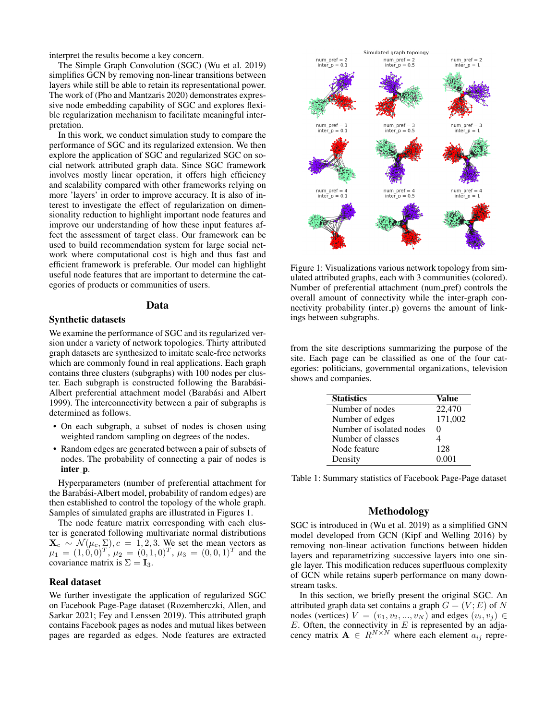interpret the results become a key concern.

The Simple Graph Convolution (SGC) (Wu et al. 2019) simplifies GCN by removing non-linear transitions between layers while still be able to retain its representational power. The work of (Pho and Mantzaris 2020) demonstrates expressive node embedding capability of SGC and explores flexible regularization mechanism to facilitate meaningful interpretation.

In this work, we conduct simulation study to compare the performance of SGC and its regularized extension. We then explore the application of SGC and regularized SGC on social network attributed graph data. Since SGC framework involves mostly linear operation, it offers high efficiency and scalability compared with other frameworks relying on more 'layers' in order to improve accuracy. It is also of interest to investigate the effect of regularization on dimensionality reduction to highlight important node features and improve our understanding of how these input features affect the assessment of target class. Our framework can be used to build recommendation system for large social network where computational cost is high and thus fast and efficient framework is preferable. Our model can highlight useful node features that are important to determine the categories of products or communities of users.

### Data

### Synthetic datasets

We examine the performance of SGC and its regularized version under a variety of network topologies. Thirty attributed graph datasets are synthesized to imitate scale-free networks which are commonly found in real applications. Each graph contains three clusters (subgraphs) with 100 nodes per cluster. Each subgraph is constructed following the Barabási-Albert preferential attachment model (Barabási and Albert 1999). The interconnectivity between a pair of subgraphs is determined as follows.

- On each subgraph, a subset of nodes is chosen using weighted random sampling on degrees of the nodes.
- Random edges are generated between a pair of subsets of nodes. The probability of connecting a pair of nodes is inter\_p.

Hyperparameters (number of preferential attachment for the Barabási-Albert model, probability of random edges) are then established to control the topology of the whole graph. Samples of simulated graphs are illustrated in Figures 1.

The node feature matrix corresponding with each cluster is generated following multivariate normal distributions  $\mathbf{X}_c \sim \mathcal{N}(\mu_c, \Sigma), c = 1, 2, 3$ . We set the mean vectors as  $\mu_1 = (1, 0, 0)^T$ ,  $\mu_2 = (0, 1, 0)^T$ ,  $\mu_3 = (0, 0, 1)^T$  and the covariance matrix is  $\Sigma = I_3$ .

#### Real dataset

We further investigate the application of regularized SGC on Facebook Page-Page dataset (Rozemberczki, Allen, and Sarkar 2021; Fey and Lenssen 2019). This attributed graph contains Facebook pages as nodes and mutual likes between pages are regarded as edges. Node features are extracted



Figure 1: Visualizations various network topology from simulated attributed graphs, each with 3 communities (colored). Number of preferential attachment (num pref) controls the overall amount of connectivity while the inter-graph connectivity probability (inter\_p) governs the amount of linkings between subgraphs.

from the site descriptions summarizing the purpose of the site. Each page can be classified as one of the four categories: politicians, governmental organizations, television shows and companies.

| <b>Statistics</b>        | Value             |
|--------------------------|-------------------|
| Number of nodes          | 22,470            |
| Number of edges          | 171,002           |
| Number of isolated nodes | $\mathbf{\Omega}$ |
| Number of classes        |                   |
| Node feature             | 128               |
| Density                  | 0.001             |

Table 1: Summary statistics of Facebook Page-Page dataset

### Methodology

SGC is introduced in (Wu et al. 2019) as a simplified GNN model developed from GCN (Kipf and Welling 2016) by removing non-linear activation functions between hidden layers and reparametrizing successive layers into one single layer. This modification reduces superfluous complexity of GCN while retains superb performance on many downstream tasks.

In this section, we briefly present the original SGC. An attributed graph data set contains a graph  $G = (V; E)$  of N nodes (vertices)  $V = (v_1, v_2, ..., v_N)$  and edges  $(v_i, v_j) \in$  $E$ . Often, the connectivity in  $E$  is represented by an adjacency matrix  $\mathbf{A} \in R^{N \times N}$  where each element  $a_{ij}$  repre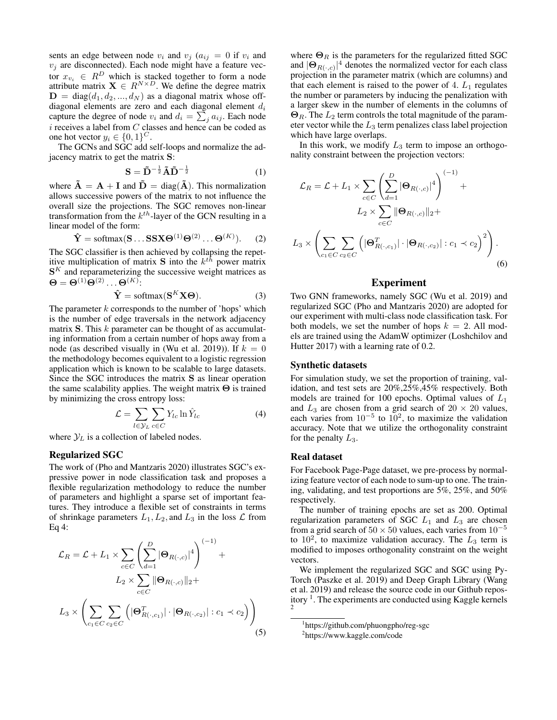sents an edge between node  $v_i$  and  $v_j$  ( $a_{ij} = 0$  if  $v_i$  and  $v_j$  are disconnected). Each node might have a feature vector  $x_{v_i} \in R^D$  which is stacked together to form a node attribute matrix  $X \in R^{N \times D}$ . We define the degree matrix  $\mathbf{D} = \text{diag}(d_1, d_2, ..., d_N)$  as a diagonal matrix whose offdiagonal elements are zero and each diagonal element  $d_i$ capture the degree of node  $v_i$  and  $d_i = \sum_j a_{ij}$ . Each node i receives a label from  $C$  classes and hence can be coded as one hot vector  $y_i \in \{0, 1\}^C$ .

The GCNs and SGC add self-loops and normalize the adjacency matrix to get the matrix S:

$$
\mathbf{S} = \tilde{\mathbf{D}}^{-\frac{1}{2}} \tilde{\mathbf{A}} \tilde{\mathbf{D}}^{-\frac{1}{2}} \tag{1}
$$

where  $\tilde{A} = A + I$  and  $\tilde{D} = diag(\tilde{A})$ . This normalization allows successive powers of the matrix to not influence the overall size the projections. The SGC removes non-linear transformation from the  $k^{th}$ -layer of the GCN resulting in a linear model of the form:

$$
\hat{\mathbf{Y}} = \text{softmax}(\mathbf{S} \dots \mathbf{S} \mathbf{X} \mathbf{\Theta}^{(1)} \mathbf{\Theta}^{(2)} \dots \mathbf{\Theta}^{(K)}).
$$
 (2)

The SGC classifier is then achieved by collapsing the repetitive multiplication of matrix **S** into the  $k^{th}$  power matrix  $S<sup>K</sup>$  and reparameterizing the successive weight matrices as  $\Theta = \Theta^{(1)}\Theta^{(2)}\dots\Theta^{(K)}$ :

$$
\hat{\mathbf{Y}} = \text{softmax}(\mathbf{S}^K \mathbf{X} \boldsymbol{\Theta}).
$$
\n(3)

The parameter  $k$  corresponds to the number of 'hops' which is the number of edge traversals in the network adjacency matrix  $S$ . This  $k$  parameter can be thought of as accumulating information from a certain number of hops away from a node (as described visually in (Wu et al. 2019)). If  $k = 0$ the methodology becomes equivalent to a logistic regression application which is known to be scalable to large datasets. Since the SGC introduces the matrix S as linear operation the same scalability applies. The weight matrix Θ is trained by minimizing the cross entropy loss:

$$
\mathcal{L} = \sum_{l \in \mathcal{Y}_L} \sum_{c \in C} Y_{lc} \ln \hat{Y}_{lc}
$$
 (4)

where  $\mathcal{Y}_L$  is a collection of labeled nodes.

### Regularized SGC

The work of (Pho and Mantzaris 2020) illustrates SGC's expressive power in node classification task and proposes a flexible regularization methodology to reduce the number of parameters and highlight a sparse set of important features. They introduce a flexible set of constraints in terms of shrinkage parameters  $L_1, L_2$ , and  $L_3$  in the loss  $\mathcal L$  from Eq 4:

$$
\mathcal{L}_R = \mathcal{L} + L_1 \times \sum_{c \in C} \left( \sum_{d=1}^D |\mathbf{\Theta}_{R(\cdot,c)}|^4 \right)^{(-1)} + L_2 \times \sum_{c \in C} ||\mathbf{\Theta}_{R(\cdot,c)}||_2 +
$$
  

$$
L_3 \times \left( \sum_{c_1 \in C} \sum_{c_2 \in C} \left( |\mathbf{\Theta}_{R(\cdot,c_1)}^T| \cdot |\mathbf{\Theta}_{R(\cdot,c_2)}| : c_1 \prec c_2 \right) \right)
$$
(5)

where  $\Theta_R$  is the parameters for the regularized fitted SGC and  $|\Theta_{R(\cdot,c)}|^4$  denotes the normalized vector for each class projection in the parameter matrix (which are columns) and that each element is raised to the power of  $4. L<sub>1</sub>$  regulates the number or parameters by inducing the penalization with a larger skew in the number of elements in the columns of  $\Theta_R$ . The  $L_2$  term controls the total magnitude of the parameter vector while the  $L_3$  term penalizes class label projection which have large overlaps.

In this work, we modify  $L_3$  term to impose an orthogonality constraint between the projection vectors:

$$
\mathcal{L}_R = \mathcal{L} + L_1 \times \sum_{c \in C} \left( \sum_{d=1}^D |\mathbf{\Theta}_{R(\cdot,c)}|^4 \right)^{(-1)} + L_2 \times \sum_{c \in C} ||\mathbf{\Theta}_{R(\cdot,c)}||_2 +
$$
  

$$
L_3 \times \left( \sum_{c_1 \in C} \sum_{c_2 \in C} \left( |\mathbf{\Theta}_{R(\cdot,c_1)}^T| \cdot |\mathbf{\Theta}_{R(\cdot,c_2)}| : c_1 \prec c_2 \right)^2 \right).
$$
  
(6)

### Experiment

Two GNN frameworks, namely SGC (Wu et al. 2019) and regularized SGC (Pho and Mantzaris 2020) are adopted for our experiment with multi-class node classification task. For both models, we set the number of hops  $k = 2$ . All models are trained using the AdamW optimizer (Loshchilov and Hutter 2017) with a learning rate of 0.2.

### Synthetic datasets

For simulation study, we set the proportion of training, validation, and test sets are 20%,25%,45% respectively. Both models are trained for 100 epochs. Optimal values of  $L_1$ and  $L_3$  are chosen from a grid search of  $20 \times 20$  values, each varies from  $10^{-5}$  to  $10^2$ , to maximize the validation accuracy. Note that we utilize the orthogonality constraint for the penalty  $L_3$ .

### Real dataset

For Facebook Page-Page dataset, we pre-process by normalizing feature vector of each node to sum-up to one. The training, validating, and test proportions are 5%, 25%, and 50% respectively.

The number of training epochs are set as 200. Optimal regularization parameters of SGC  $L_1$  and  $L_3$  are chosen from a grid search of  $50 \times 50$  values, each varies from  $10^{-5}$ to  $10^2$ , to maximize validation accuracy. The  $L_3$  term is modified to imposes orthogonality constraint on the weight vectors.

We implement the regularized SGC and SGC using Py-Torch (Paszke et al. 2019) and Deep Graph Library (Wang et al. 2019) and release the source code in our Github repository<sup>1</sup>. The experiments are conducted using Kaggle kernels

<sup>1</sup> https://github.com/phuongpho/reg-sgc

<sup>2</sup> https://www.kaggle.com/code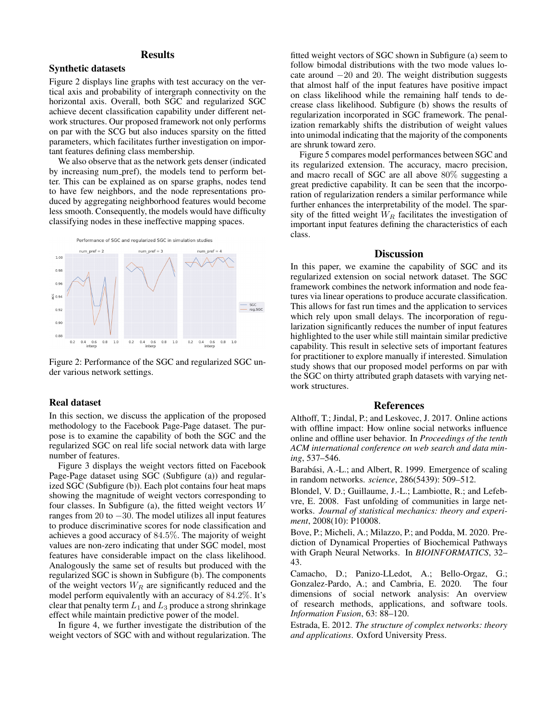## **Results**

### Synthetic datasets

Figure 2 displays line graphs with test accuracy on the vertical axis and probability of intergraph connectivity on the horizontal axis. Overall, both SGC and regularized SGC achieve decent classification capability under different network structures. Our proposed framework not only performs on par with the SCG but also induces sparsity on the fitted parameters, which facilitates further investigation on important features defining class membership.

We also observe that as the network gets denser (indicated by increasing num pref), the models tend to perform better. This can be explained as on sparse graphs, nodes tend to have few neighbors, and the node representations produced by aggregating neighborhood features would become less smooth. Consequently, the models would have difficulty classifying nodes in these ineffective mapping spaces.



Figure 2: Performance of the SGC and regularized SGC under various network settings.

#### Real dataset

In this section, we discuss the application of the proposed methodology to the Facebook Page-Page dataset. The purpose is to examine the capability of both the SGC and the regularized SGC on real life social network data with large number of features.

Figure 3 displays the weight vectors fitted on Facebook Page-Page dataset using SGC (Subfigure (a)) and regularized SGC (Subfigure (b)). Each plot contains four heat maps showing the magnitude of weight vectors corresponding to four classes. In Subfigure (a), the fitted weight vectors  $W$ ranges from 20 to  $-30$ . The model utilizes all input features to produce discriminative scores for node classification and achieves a good accuracy of 84.5%. The majority of weight values are non-zero indicating that under SGC model, most features have considerable impact on the class likelihood. Analogously the same set of results but produced with the regularized SGC is shown in Subfigure (b). The components of the weight vectors  $W_R$  are significantly reduced and the model perform equivalently with an accuracy of 84.2%. It's clear that penalty term  $L_1$  and  $L_3$  produce a strong shrinkage effect while maintain predictive power of the model.

In figure 4, we further investigate the distribution of the weight vectors of SGC with and without regularization. The

fitted weight vectors of SGC shown in Subfigure (a) seem to follow bimodal distributions with the two mode values locate around −20 and 20. The weight distribution suggests that almost half of the input features have positive impact on class likelihood while the remaining half tends to decrease class likelihood. Subfigure (b) shows the results of regularization incorporated in SGC framework. The penalization remarkably shifts the distribution of weight values into unimodal indicating that the majority of the components are shrunk toward zero.

Figure 5 compares model performances between SGC and its regularized extension. The accuracy, macro precision, and macro recall of SGC are all above 80% suggesting a great predictive capability. It can be seen that the incorporation of regularization renders a similar performance while further enhances the interpretability of the model. The sparsity of the fitted weight  $\overline{W_R}$  facilitates the investigation of important input features defining the characteristics of each class.

#### **Discussion**

In this paper, we examine the capability of SGC and its regularized extension on social network dataset. The SGC framework combines the network information and node features via linear operations to produce accurate classification. This allows for fast run times and the application to services which rely upon small delays. The incorporation of regularization significantly reduces the number of input features highlighted to the user while still maintain similar predictive capability. This result in selective sets of important features for practitioner to explore manually if interested. Simulation study shows that our proposed model performs on par with the SGC on thirty attributed graph datasets with varying network structures.

### References

Althoff, T.; Jindal, P.; and Leskovec, J. 2017. Online actions with offline impact: How online social networks influence online and offline user behavior. In *Proceedings of the tenth ACM international conference on web search and data mining*, 537–546.

Barabási, A.-L.; and Albert, R. 1999. Emergence of scaling in random networks. *science*, 286(5439): 509–512.

Blondel, V. D.; Guillaume, J.-L.; Lambiotte, R.; and Lefebvre, E. 2008. Fast unfolding of communities in large networks. *Journal of statistical mechanics: theory and experiment*, 2008(10): P10008.

Bove, P.; Micheli, A.; Milazzo, P.; and Podda, M. 2020. Prediction of Dynamical Properties of Biochemical Pathways with Graph Neural Networks. In *BIOINFORMATICS*, 32– 43.

Camacho, D.; Panizo-LLedot, A.; Bello-Orgaz, G.; Gonzalez-Pardo, A.; and Cambria, E. 2020. The four dimensions of social network analysis: An overview of research methods, applications, and software tools. *Information Fusion*, 63: 88–120.

Estrada, E. 2012. *The structure of complex networks: theory and applications*. Oxford University Press.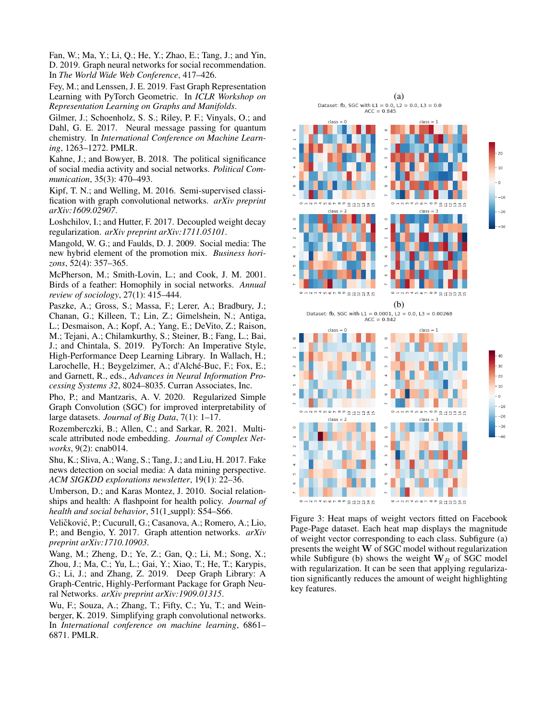Fan, W.; Ma, Y.; Li, Q.; He, Y.; Zhao, E.; Tang, J.; and Yin, D. 2019. Graph neural networks for social recommendation. In *The World Wide Web Conference*, 417–426.

Fey, M.; and Lenssen, J. E. 2019. Fast Graph Representation Learning with PyTorch Geometric. In *ICLR Workshop on Representation Learning on Graphs and Manifolds*.

Gilmer, J.; Schoenholz, S. S.; Riley, P. F.; Vinyals, O.; and Dahl, G. E. 2017. Neural message passing for quantum chemistry. In *International Conference on Machine Learning*, 1263–1272. PMLR.

Kahne, J.; and Bowyer, B. 2018. The political significance of social media activity and social networks. *Political Communication*, 35(3): 470–493.

Kipf, T. N.; and Welling, M. 2016. Semi-supervised classification with graph convolutional networks. *arXiv preprint arXiv:1609.02907*.

Loshchilov, I.; and Hutter, F. 2017. Decoupled weight decay regularization. *arXiv preprint arXiv:1711.05101*.

Mangold, W. G.; and Faulds, D. J. 2009. Social media: The new hybrid element of the promotion mix. *Business horizons*, 52(4): 357–365.

McPherson, M.; Smith-Lovin, L.; and Cook, J. M. 2001. Birds of a feather: Homophily in social networks. *Annual review of sociology*, 27(1): 415–444.

Paszke, A.; Gross, S.; Massa, F.; Lerer, A.; Bradbury, J.; Chanan, G.; Killeen, T.; Lin, Z.; Gimelshein, N.; Antiga, L.; Desmaison, A.; Kopf, A.; Yang, E.; DeVito, Z.; Raison, M.; Tejani, A.; Chilamkurthy, S.; Steiner, B.; Fang, L.; Bai, J.; and Chintala, S. 2019. PyTorch: An Imperative Style, High-Performance Deep Learning Library. In Wallach, H.; Larochelle, H.; Beygelzimer, A.; d'Alché-Buc, F.; Fox, E.; and Garnett, R., eds., *Advances in Neural Information Processing Systems 32*, 8024–8035. Curran Associates, Inc.

Pho, P.; and Mantzaris, A. V. 2020. Regularized Simple Graph Convolution (SGC) for improved interpretability of large datasets. *Journal of Big Data*, 7(1): 1–17.

Rozemberczki, B.; Allen, C.; and Sarkar, R. 2021. Multiscale attributed node embedding. *Journal of Complex Networks*, 9(2): cnab014.

Shu, K.; Sliva, A.; Wang, S.; Tang, J.; and Liu, H. 2017. Fake news detection on social media: A data mining perspective. *ACM SIGKDD explorations newsletter*, 19(1): 22–36.

Umberson, D.; and Karas Montez, J. 2010. Social relationships and health: A flashpoint for health policy. *Journal of health and social behavior*, 51(1\_suppl): S54-S66.

Veličković, P.; Cucurull, G.; Casanova, A.; Romero, A.; Lio, P.; and Bengio, Y. 2017. Graph attention networks. *arXiv preprint arXiv:1710.10903*.

Wang, M.; Zheng, D.; Ye, Z.; Gan, Q.; Li, M.; Song, X.; Zhou, J.; Ma, C.; Yu, L.; Gai, Y.; Xiao, T.; He, T.; Karypis, G.; Li, J.; and Zhang, Z. 2019. Deep Graph Library: A Graph-Centric, Highly-Performant Package for Graph Neural Networks. *arXiv preprint arXiv:1909.01315*.

Wu, F.; Souza, A.; Zhang, T.; Fifty, C.; Yu, T.; and Weinberger, K. 2019. Simplifying graph convolutional networks. In *International conference on machine learning*, 6861– 6871. PMLR.



Figure 3: Heat maps of weight vectors fitted on Facebook Page-Page dataset. Each heat map displays the magnitude of weight vector corresponding to each class. Subfigure (a) presents the weight W of SGC model without regularization while Subfigure (b) shows the weight  $W_R$  of SGC model with regularization. It can be seen that applying regularization significantly reduces the amount of weight highlighting key features.